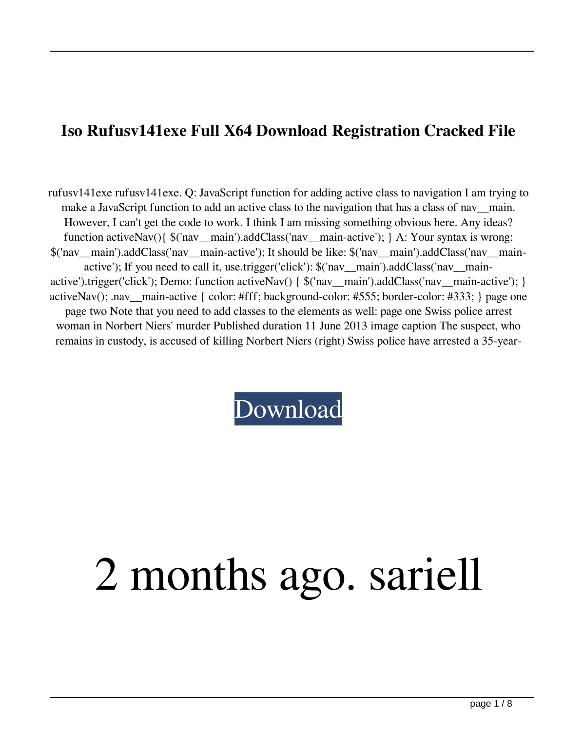## **Iso Rufusv141exe Full X64 Download Registration Cracked File**

rufusv141exe rufusv141exe. Q: JavaScript function for adding active class to navigation I am trying to make a JavaScript function to add an active class to the navigation that has a class of nav\_main. However, I can't get the code to work. I think I am missing something obvious here. Any ideas? function activeNav(){ \$('nav\_\_main').addClass('nav\_\_main-active'); } A: Your syntax is wrong: \$('nav\_\_main').addClass('nav\_\_main-active'); It should be like: \$('nav\_\_main').addClass('nav\_\_mainactive'); If you need to call it, use.trigger('click'): \$('nav\_\_main').addClass('nav\_\_mainactive').trigger('click'); Demo: function activeNav() { \$('nav\_\_main').addClass('nav\_\_main-active'); } activeNav(); .nav\_\_main-active { color: #fff; background-color: #555; border-color: #333; } page one page two Note that you need to add classes to the elements as well: page one Swiss police arrest woman in Norbert Niers' murder Published duration 11 June 2013 image caption The suspect, who remains in custody, is accused of killing Norbert Niers (right) Swiss police have arrested a 35-year-

[Download](http://evacdir.com/novouralsk/cnVmdXN2MTQxZXhlcnV/broaden.orgiastic.coffeshops/neurostimulator/ZG93bmxvYWR8QXM5TWpRMmFIeDhNVFkxTWpjME1EZzJObng4TWpVM05IeDhLRTBwSUhKbFlXUXRZbXh2WnlCYlJtRnpkQ0JIUlU1ZA/)

## 2 months ago. sariell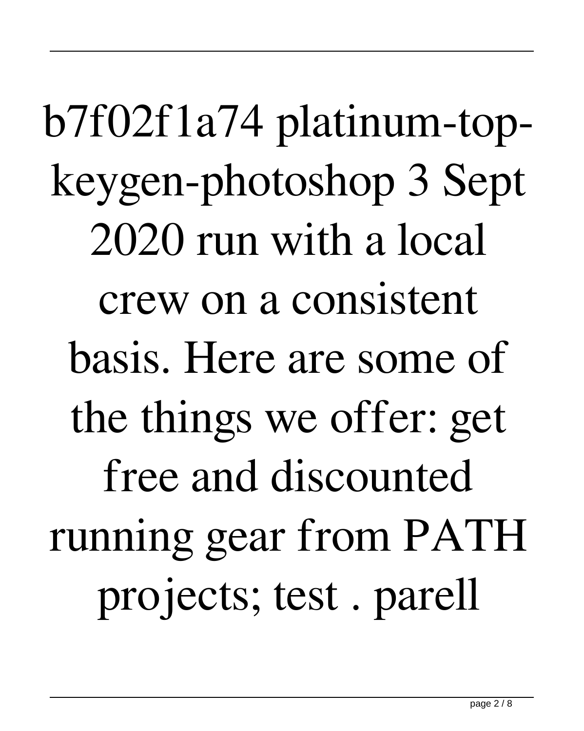b7f02f1a74 platinum-topkeygen-photoshop 3 Sept 2020 run with a local crew on a consistent basis. Here are some of the things we offer: get free and discounted running gear from PATH projects; test . parell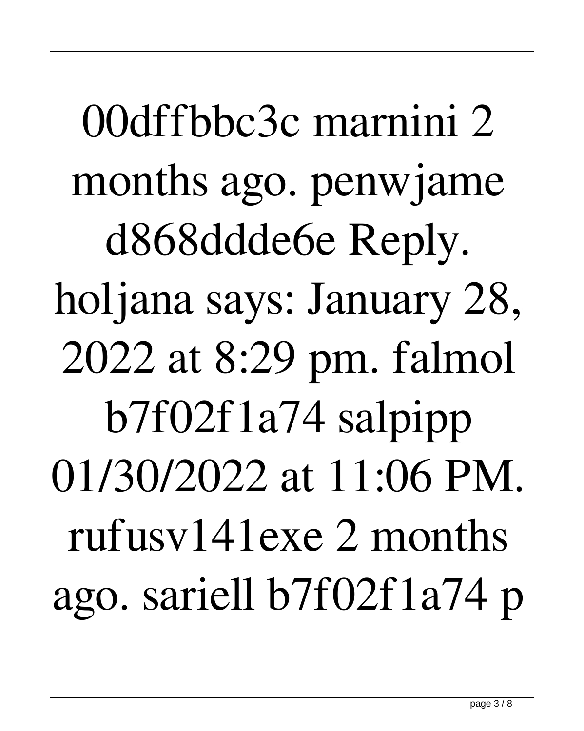00dffbbc3c marnini 2 months ago. penwjame d868ddde6e Reply. holjana says: January 28, 2022 at 8:29 pm. falmol b7f02f1a74 salpipp 01/30/2022 at 11:06 PM. rufusv141exe 2 months ago. sariell b7f02f1a74 p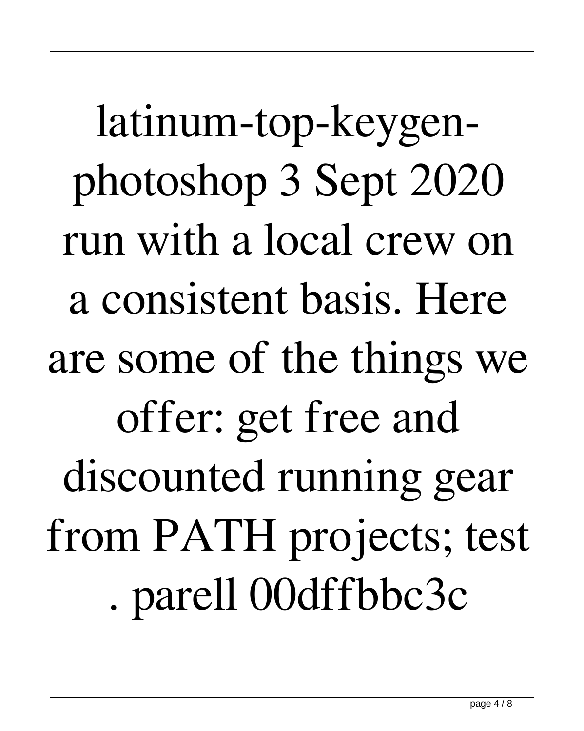latinum-top-keygenphotoshop 3 Sept 2020 run with a local crew on a consistent basis. Here are some of the things we offer: get free and discounted running gear from PATH projects; test . parell 00dffbbc3c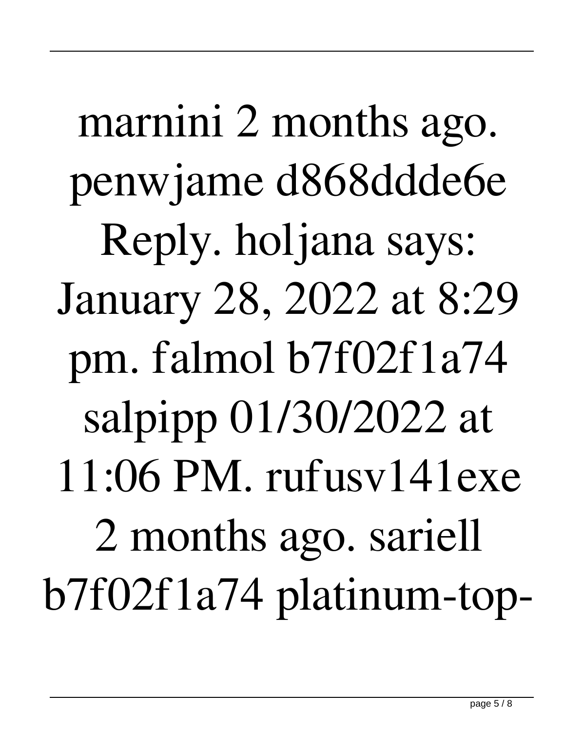marnini 2 months ago. penwjame d868ddde6e Reply. holjana says: January 28, 2022 at 8:29 pm. falmol b7f02f1a74 salpipp 01/30/2022 at 11:06 PM. rufusv141exe 2 months ago. sariell b7f02f1a74 platinum-top-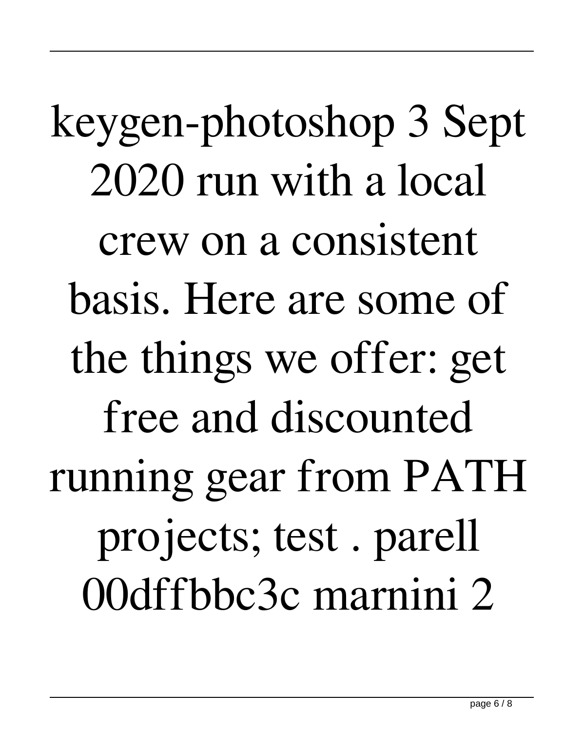keygen-photoshop 3 Sept 2020 run with a local crew on a consistent basis. Here are some of the things we offer: get free and discounted running gear from PATH projects; test . parell 00dffbbc3c marnini 2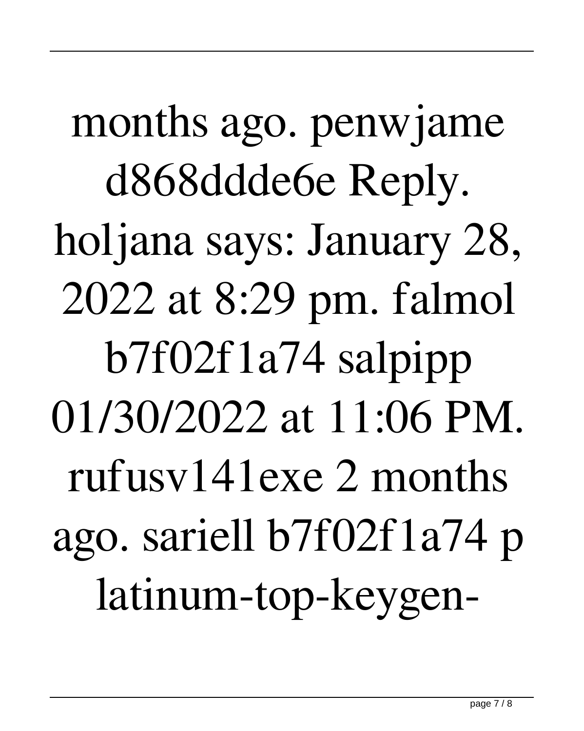months ago. penwjame d868ddde6e Reply. holjana says: January 28, 2022 at 8:29 pm. falmol b7f02f1a74 salpipp 01/30/2022 at 11:06 PM. rufusv141exe 2 months ago. sariell b7f02f1a74 p latinum-top-keygen-